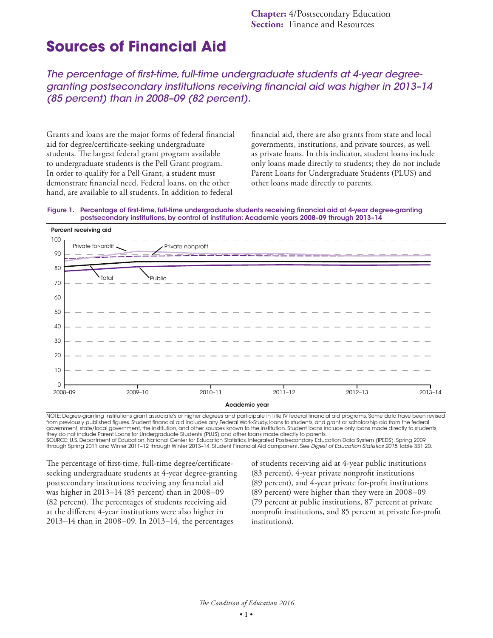# **Sources of Financial Aid**

*The percentage of first-time, full-time undergraduate students at 4-year degreegranting postsecondary institutions receiving financial aid was higher in 2013–14 (85 percent) than in 2008–09 (82 percent).*

Grants and loans are the major forms of federal financial aid for degree/certificate-seeking undergraduate students. The largest federal grant program available to undergraduate students is the Pell Grant program. In order to qualify for a Pell Grant, a student must demonstrate financial need. Federal loans, on the other hand, are available to all students. In addition to federal

financial aid, there are also grants from state and local governments, institutions, and private sources, as well as private loans. In this indicator, student loans include only loans made directly to students; they do not include Parent Loans for Undergraduate Students (PLUS) and other loans made directly to parents.





NOTE: Degree-granting institutions grant associate's or higher degrees and participate in Title IV federal financial aid programs. Some data have been revised from previously published figures. Student financial aid includes any Federal Work-Study, loans to students, and grant or scholarship aid from the federal government, state/local government, the institution, and other sources known to the institution. Student loans include only loans made directly to students; they do not include Parent Loans for Undergraduate Students (PLUS) and other loans made directly to parents. SOURCE: U.S. Department of Education, National Center for Education Statistics, Integrated Postsecondary Education Data System (IPEDS), Spring 2009

through Spring 2011 and Winter 2011–12 through Winter 2013–14, Student Financial Aid component. See *Digest of Education Statistics 2015*, table 331.20.

The percentage of first-time, full-time degree/certificateseeking undergraduate students at 4-year degree-granting postsecondary institutions receiving any financial aid was higher in 2013–14 (85 percent) than in 2008–09 (82 percent). The percentages of students receiving aid at the different 4-year institutions were also higher in 2013–14 than in 2008–09. In 2013–14, the percentages

of students receiving aid at 4-year public institutions (83 percent), 4-year private nonprofit institutions (89 percent), and 4-year private for-profit institutions (89 percent) were higher than they were in 2008–09 (79 percent at public institutions, 87 percent at private nonprofit institutions, and 85 percent at private for-profit institutions).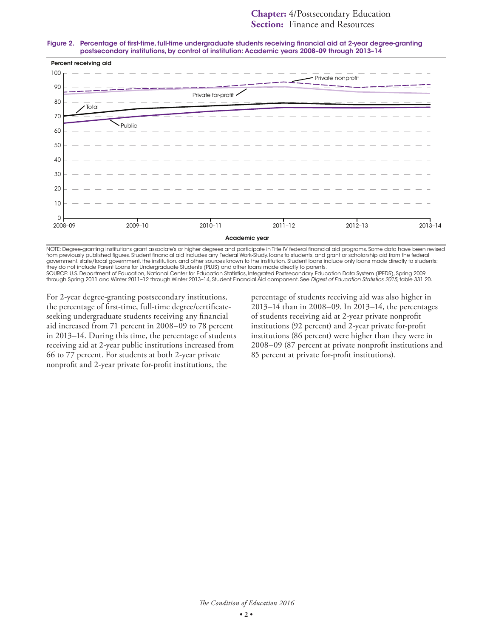#### Figure 2. Percentage of first-time, full-time undergraduate students receiving financial aid at 2-year degree-granting postsecondary institutions, by control of institution: Academic years 2008–09 through 2013–14



NOTE: Degree-granting institutions grant associate's or higher degrees and participate in Title IV federal financial aid programs. Some data have been revised from previously published figures. Student financial aid includes any Federal Work-Study, loans to students, and grant or scholarship aid from the federal government, state/local government, the institution, and other sources known to the institution. Student loans include only loans made directly to students; they do not include Parent Loans for Undergraduate Students (PLUS) and other loans made directly to parents.

SOURCE: U.S. Department of Education, National Center for Education Statistics, Integrated Postsecondary Education Data System (IPEDS), Spring 2009<br>through Spring 2011 and Winter 2011-12 through Winter 2013-14, Student Fin

For 2-year degree-granting postsecondary institutions, the percentage of first-time, full-time degree/certificateseeking undergraduate students receiving any financial aid increased from 71 percent in 2008–09 to 78 percent in 2013–14. During this time, the percentage of students receiving aid at 2-year public institutions increased from 66 to 77 percent. For students at both 2-year private nonprofit and 2-year private for-profit institutions, the

percentage of students receiving aid was also higher in 2013–14 than in 2008–09. In 2013–14, the percentages of students receiving aid at 2-year private nonprofit institutions (92 percent) and 2-year private for-profit institutions (86 percent) were higher than they were in 2008–09 (87 percent at private nonprofit institutions and 85 percent at private for-profit institutions).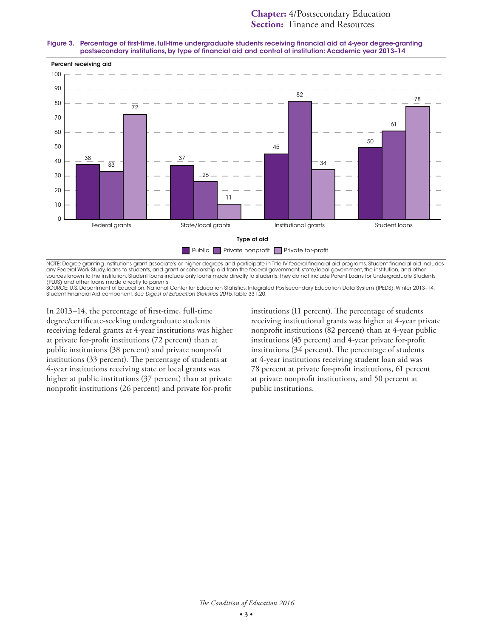#### Figure 3. Percentage of first-time, full-time undergraduate students receiving financial aid at 4-year degree-granting postsecondary institutions, by type of financial aid and control of institution: Academic year 2013–14



NOTE: Degree-granting institutions grant associate's or higher degrees and participate in Title IV federal financial aid programs. Student financial aid includes any Federal Work-Study, loans to students, and grant or scholarship aid from the federal government, state/local government, the institution, and other sources known to the institution. Student loans include only loans made directly to students; they do not include Parent Loans for Undergraduate Students

(PLUS) and other loans made directly to parents. SOURCE: U.S. Department of Education, National Center for Education Statistics, Integrated Postsecondary Education Data System (IPEDS), Winter 2013–14, Student Financial Aid component. See *Digest of Education Statistics 2015*, table 331.20.

In 2013–14, the percentage of first-time, full-time degree/certificate-seeking undergraduate students receiving federal grants at 4-year institutions was higher at private for-profit institutions (72 percent) than at public institutions (38 percent) and private nonprofit institutions (33 percent). The percentage of students at 4-year institutions receiving state or local grants was higher at public institutions (37 percent) than at private nonprofit institutions (26 percent) and private for-profit

institutions (11 percent). The percentage of students receiving institutional grants was higher at 4-year private nonprofit institutions (82 percent) than at 4-year public institutions (45 percent) and 4-year private for-profit institutions (34 percent). The percentage of students at 4-year institutions receiving student loan aid was 78 percent at private for-profit institutions, 61 percent at private nonprofit institutions, and 50 percent at public institutions.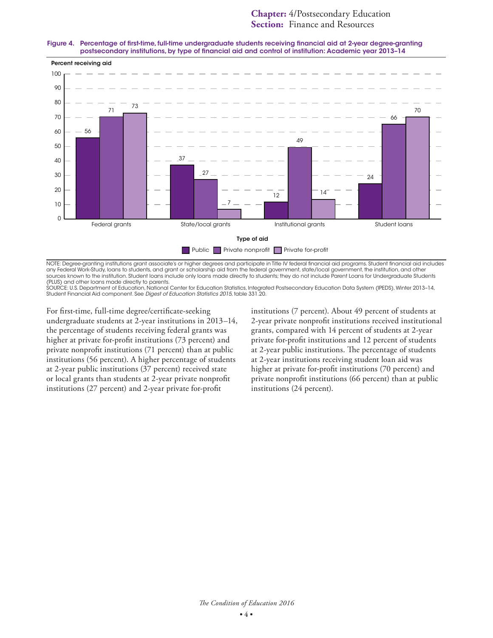#### Figure 4. Percentage of first-time, full-time undergraduate students receiving financial aid at 2-year degree-granting postsecondary institutions, by type of financial aid and control of institution: Academic year 2013–14



NOTE: Degree-granting institutions grant associate's or higher degrees and participate in Title IV federal financial aid programs. Student financial aid includes any Federal Work-Study, loans to students, and grant or scholarship aid from the federal government, state/local government, the institution, and other sources known to the institution. Student loans include only loans made directly to students; they do not include Parent Loans for Undergraduate Students

(PLUS) and other loans made directly to parents. SOURCE: U.S. Department of Education, National Center for Education Statistics, Integrated Postsecondary Education Data System (IPEDS), Winter 2013–14, Student Financial Aid component. See *Digest of Education Statistics 2015*, table 331.20.

For first-time, full-time degree/certificate-seeking undergraduate students at 2-year institutions in 2013–14, the percentage of students receiving federal grants was higher at private for-profit institutions (73 percent) and private nonprofit institutions (71 percent) than at public institutions (56 percent). A higher percentage of students at 2-year public institutions (37 percent) received state or local grants than students at 2-year private nonprofit institutions (27 percent) and 2-year private for-profit

institutions (7 percent). About 49 percent of students at 2-year private nonprofit institutions received institutional grants, compared with 14 percent of students at 2-year private for-profit institutions and 12 percent of students at 2-year public institutions. The percentage of students at 2-year institutions receiving student loan aid was higher at private for-profit institutions (70 percent) and private nonprofit institutions (66 percent) than at public institutions (24 percent).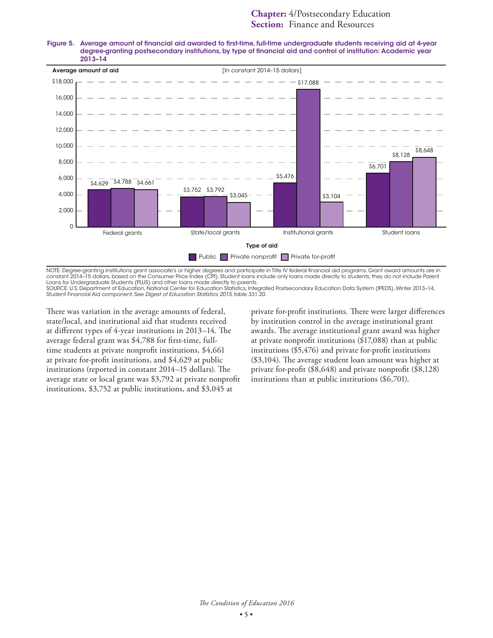

Figure 5. Average amount of financial aid awarded to first-time, full-time undergraduate students receiving aid at 4-year degree-granting postsecondary institutions, by type of financial aid and control of institution: Academic year 2013–14

NOTE: Degree-granting institutions grant associate's or higher degrees and participate in Title IV federal financial aid programs. Grant award amounts are in constant 2014–15 dollars, based on the Consumer Price Index (CPI). Student loans include only loans made directly to students; they do not include Parent Loans for Undergraduate Students (PLUS) and other loans made directly to parents.

SOURCE: U.S. Department of Education, National Center for Education Statistics, Integrated Postsecondary Education Data System (IPEDS), Winter 2013–14, Student Financial Aid component. See *Digest of Education Statistics 2015*, table 331.20.

There was variation in the average amounts of federal, state/local, and institutional aid that students received at different types of 4-year institutions in 2013–14. The average federal grant was \$4,788 for first-time, fulltime students at private nonprofit institutions, \$4,661 at private for-profit institutions, and \$4,629 at public institutions (reported in constant 2014–15 dollars). The average state or local grant was \$3,792 at private nonprofit institutions, \$3,752 at public institutions, and \$3,045 at

private for-profit institutions. There were larger differences by institution control in the average institutional grant awards. The average institutional grant award was higher at private nonprofit institutions (\$17,088) than at public institutions (\$5,476) and private for-profit institutions (\$3,104). The average student loan amount was higher at private for-profit (\$8,648) and private nonprofit (\$8,128) institutions than at public institutions (\$6,701).